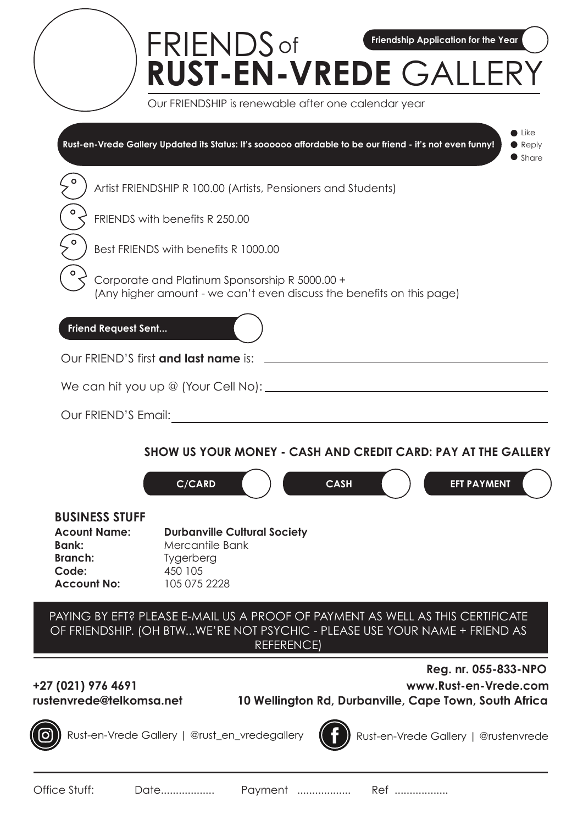|                                                                                                               | <b>FRIENDS</b> of<br>Friendship Application for the Year<br>RUST-EN-VREDE GALLERY                                                                                                 |                                                                  |
|---------------------------------------------------------------------------------------------------------------|-----------------------------------------------------------------------------------------------------------------------------------------------------------------------------------|------------------------------------------------------------------|
|                                                                                                               | Our FRIENDSHIP is renewable after one calendar year                                                                                                                               |                                                                  |
|                                                                                                               | Rust-en-Vrede Gallery Updated its Status: It's soooooo affordable to be our friend - it's not even funny!                                                                         | $\bullet$ Like<br>$\blacktriangleright$ Reply<br>$\bullet$ Share |
|                                                                                                               | Artist FRIENDSHIP R 100.00 (Artists, Pensioners and Students)                                                                                                                     |                                                                  |
| о                                                                                                             | FRIENDS with benefits R 250.00                                                                                                                                                    |                                                                  |
|                                                                                                               | Best FRIENDS with benefits R 1000.00                                                                                                                                              |                                                                  |
|                                                                                                               | Corporate and Platinum Sponsorship R 5000.00 +<br>(Any higher amount - we can't even discuss the benefits on this page)                                                           |                                                                  |
| <b>Friend Request Sent</b>                                                                                    |                                                                                                                                                                                   |                                                                  |
|                                                                                                               | Our FRIEND'S first and last name is:                                                                                                                                              |                                                                  |
|                                                                                                               | We can hit you up @ (Your Cell No): ______                                                                                                                                        |                                                                  |
| Our FRIEND'S Email:                                                                                           |                                                                                                                                                                                   |                                                                  |
|                                                                                                               | SHOW US YOUR MONEY - CASH AND CREDIT CARD: PAY AT THE GALLERY<br><b>CASH</b><br>C/CARD<br><b>EFT PAYMENT</b>                                                                      |                                                                  |
| <b>BUSINESS STUFF</b><br><b>Acount Name:</b><br><b>Bank:</b><br><b>Branch:</b><br>Code:<br><b>Account No:</b> | <b>Durbanville Cultural Society</b><br>Mercantile Bank<br>Tygerberg<br>450 105<br>105 075 2228                                                                                    |                                                                  |
|                                                                                                               | PAYING BY EFT? PLEASE E-MAIL US A PROOF OF PAYMENT AS WELL AS THIS CERTIFICATE<br>OF FRIENDSHIP. (OH BTWWE'RE NOT PSYCHIC - PLEASE USE YOUR NAME + FRIEND AS<br><b>REFERENCE)</b> |                                                                  |
| +27 (021) 976 4691<br>rustenvrede@telkomsa.net                                                                | Reg. nr. 055-833-NPO<br>www.Rust-en-Vrede.com<br>10 Wellington Rd, Durbanville, Cape Town, South Africa                                                                           |                                                                  |
|                                                                                                               | Rust-en-Vrede Gallery   @rust_en_vredegallery<br>Rust-en-Vrede Gallery   @rustenvrede                                                                                             |                                                                  |
| Office Stuff:                                                                                                 | Ref<br>Date<br>Payment<br>.                                                                                                                                                       |                                                                  |